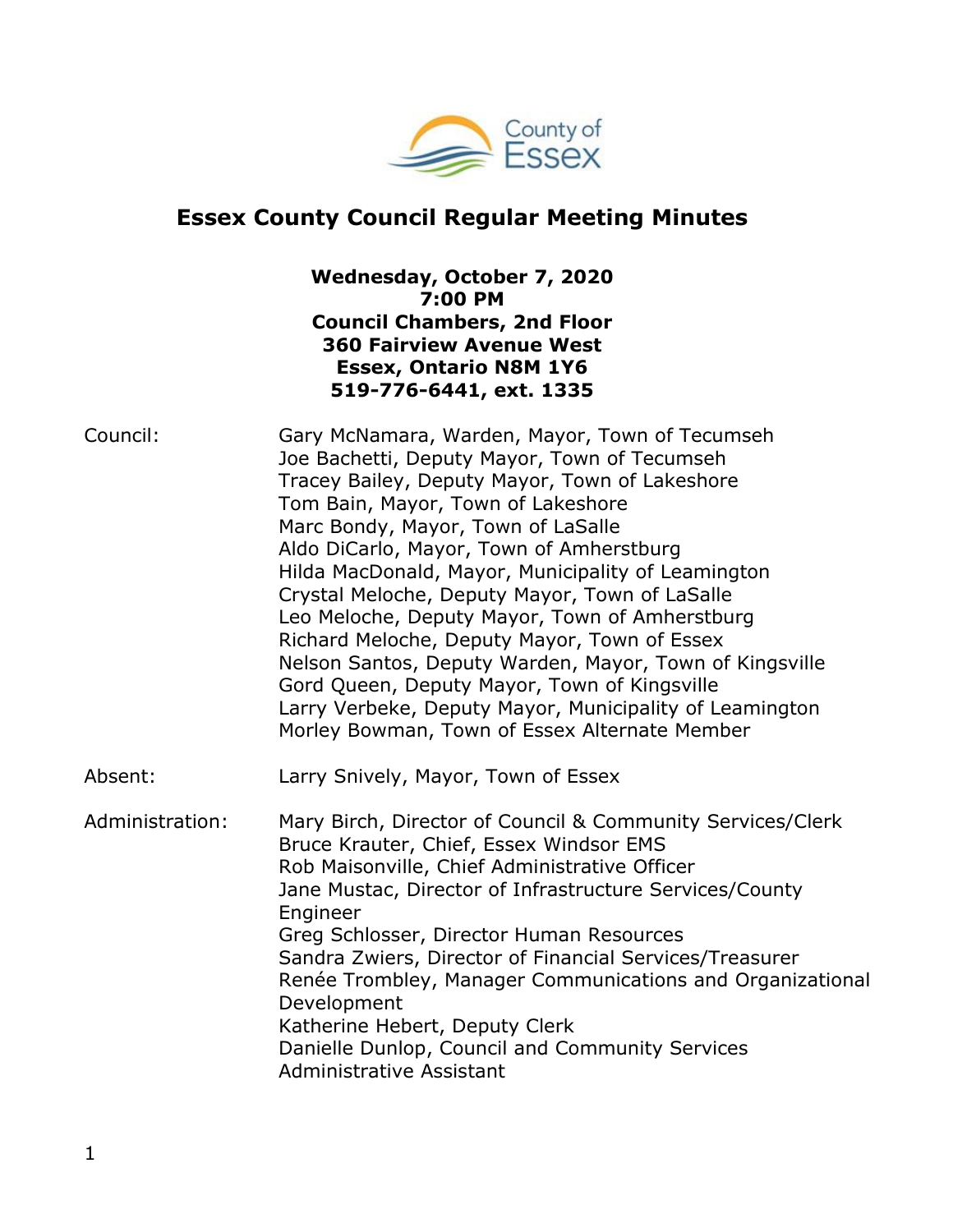

# **Essex County Council Regular Meeting Minutes**

## **Wednesday, October 7, 2020 7:00 PM Council Chambers, 2nd Floor 360 Fairview Avenue West Essex, Ontario N8M 1Y6 519-776-6441, ext. 1335**

| Council:        | Gary McNamara, Warden, Mayor, Town of Tecumseh<br>Joe Bachetti, Deputy Mayor, Town of Tecumseh<br>Tracey Bailey, Deputy Mayor, Town of Lakeshore<br>Tom Bain, Mayor, Town of Lakeshore<br>Marc Bondy, Mayor, Town of LaSalle<br>Aldo DiCarlo, Mayor, Town of Amherstburg<br>Hilda MacDonald, Mayor, Municipality of Leamington<br>Crystal Meloche, Deputy Mayor, Town of LaSalle<br>Leo Meloche, Deputy Mayor, Town of Amherstburg<br>Richard Meloche, Deputy Mayor, Town of Essex<br>Nelson Santos, Deputy Warden, Mayor, Town of Kingsville<br>Gord Queen, Deputy Mayor, Town of Kingsville<br>Larry Verbeke, Deputy Mayor, Municipality of Leamington<br>Morley Bowman, Town of Essex Alternate Member |
|-----------------|-----------------------------------------------------------------------------------------------------------------------------------------------------------------------------------------------------------------------------------------------------------------------------------------------------------------------------------------------------------------------------------------------------------------------------------------------------------------------------------------------------------------------------------------------------------------------------------------------------------------------------------------------------------------------------------------------------------|
| Absent:         | Larry Snively, Mayor, Town of Essex                                                                                                                                                                                                                                                                                                                                                                                                                                                                                                                                                                                                                                                                       |
| Administration: | Mary Birch, Director of Council & Community Services/Clerk<br>Bruce Krauter, Chief, Essex Windsor EMS<br>Rob Maisonville, Chief Administrative Officer<br>Jane Mustac, Director of Infrastructure Services/County<br>Engineer<br>Greg Schlosser, Director Human Resources<br>Sandra Zwiers, Director of Financial Services/Treasurer<br>Renée Trombley, Manager Communications and Organizational<br>Development<br>Katherine Hebert, Deputy Clerk<br>Danielle Dunlop, Council and Community Services<br>Administrative Assistant                                                                                                                                                                         |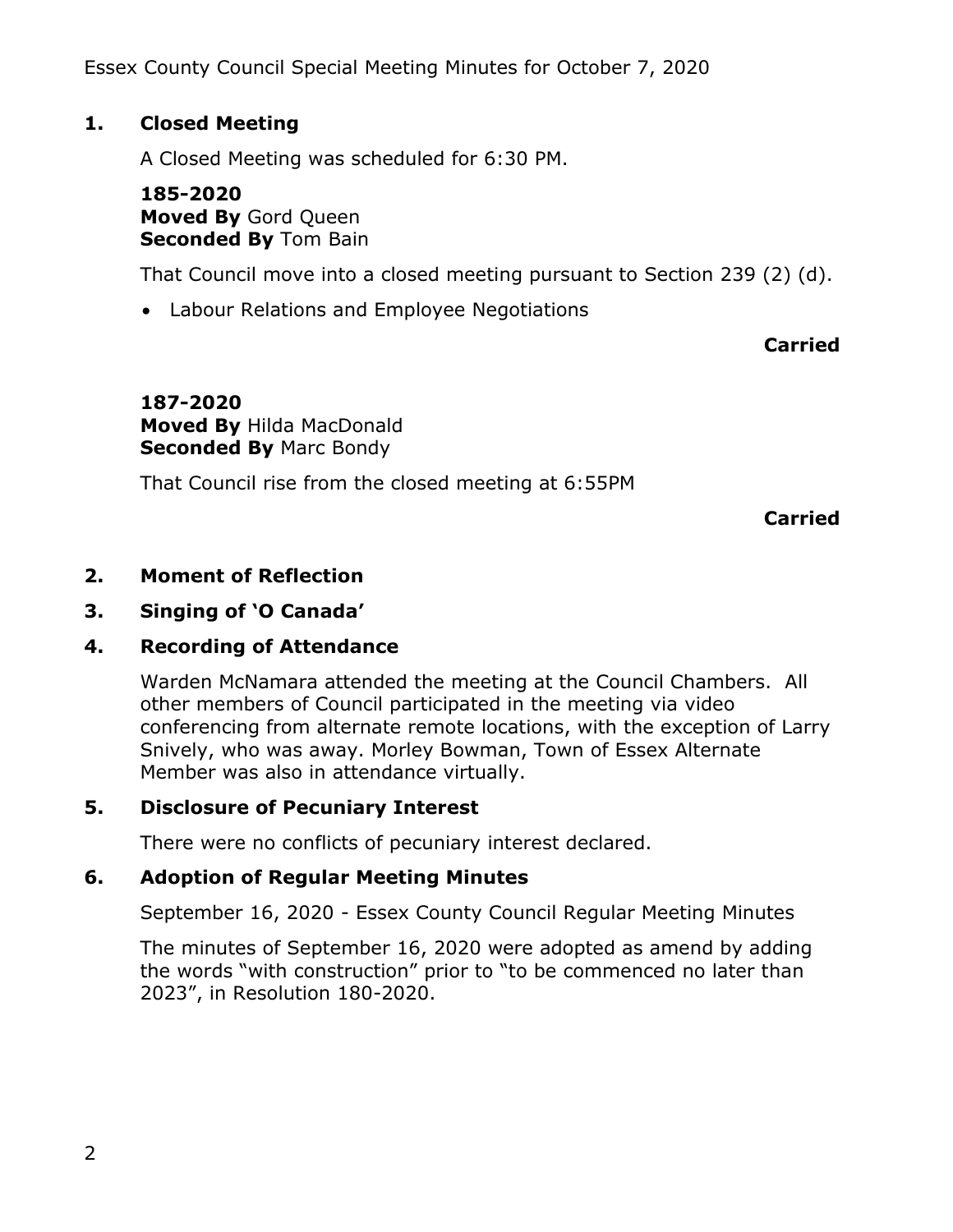Essex County Council Special Meeting Minutes for October 7, 2020

## **1. Closed Meeting**

A Closed Meeting was scheduled for 6:30 PM.

### **185-2020 Moved By** Gord Queen **Seconded By** Tom Bain

That Council move into a closed meeting pursuant to Section 239 (2) (d).

Labour Relations and Employee Negotiations

# **Carried**

**187-2020 Moved By** Hilda MacDonald **Seconded By** Marc Bondy

That Council rise from the closed meeting at 6:55PM

**Carried**

# **2. Moment of Reflection**

# **3. Singing of 'O Canada'**

# **4. Recording of Attendance**

Warden McNamara attended the meeting at the Council Chambers. All other members of Council participated in the meeting via video conferencing from alternate remote locations, with the exception of Larry Snively, who was away. Morley Bowman, Town of Essex Alternate Member was also in attendance virtually.

# **5. Disclosure of Pecuniary Interest**

There were no conflicts of pecuniary interest declared.

## **6. Adoption of Regular Meeting Minutes**

September 16, 2020 - Essex County Council Regular Meeting Minutes

The minutes of September 16, 2020 were adopted as amend by adding the words "with construction" prior to "to be commenced no later than 2023", in Resolution 180-2020.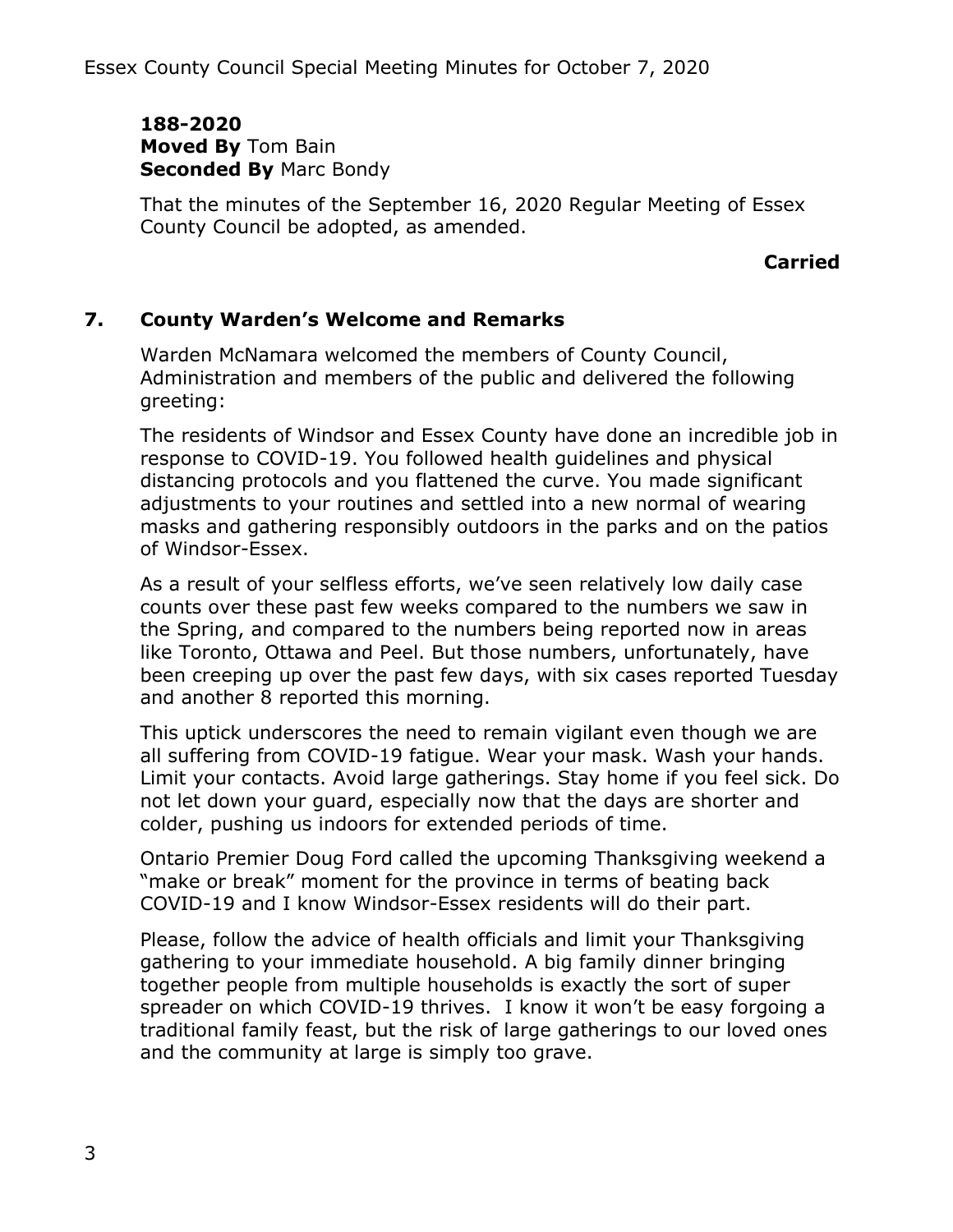### **188-2020 Moved By** Tom Bain **Seconded By** Marc Bondy

That the minutes of the September 16, 2020 Regular Meeting of Essex County Council be adopted, as amended.

### **Carried**

## **7. County Warden's Welcome and Remarks**

Warden McNamara welcomed the members of County Council, Administration and members of the public and delivered the following greeting:

The residents of Windsor and Essex County have done an incredible job in response to COVID-19. You followed health guidelines and physical distancing protocols and you flattened the curve. You made significant adjustments to your routines and settled into a new normal of wearing masks and gathering responsibly outdoors in the parks and on the patios of Windsor-Essex.

As a result of your selfless efforts, we've seen relatively low daily case counts over these past few weeks compared to the numbers we saw in the Spring, and compared to the numbers being reported now in areas like Toronto, Ottawa and Peel. But those numbers, unfortunately, have been creeping up over the past few days, with six cases reported Tuesday and another 8 reported this morning.

This uptick underscores the need to remain vigilant even though we are all suffering from COVID-19 fatigue. Wear your mask. Wash your hands. Limit your contacts. Avoid large gatherings. Stay home if you feel sick. Do not let down your guard, especially now that the days are shorter and colder, pushing us indoors for extended periods of time.

Ontario Premier Doug Ford called the upcoming Thanksgiving weekend a "make or break" moment for the province in terms of beating back COVID-19 and I know Windsor-Essex residents will do their part.

Please, follow the advice of health officials and limit your Thanksgiving gathering to your immediate household. A big family dinner bringing together people from multiple households is exactly the sort of super spreader on which COVID-19 thrives. I know it won't be easy forgoing a traditional family feast, but the risk of large gatherings to our loved ones and the community at large is simply too grave.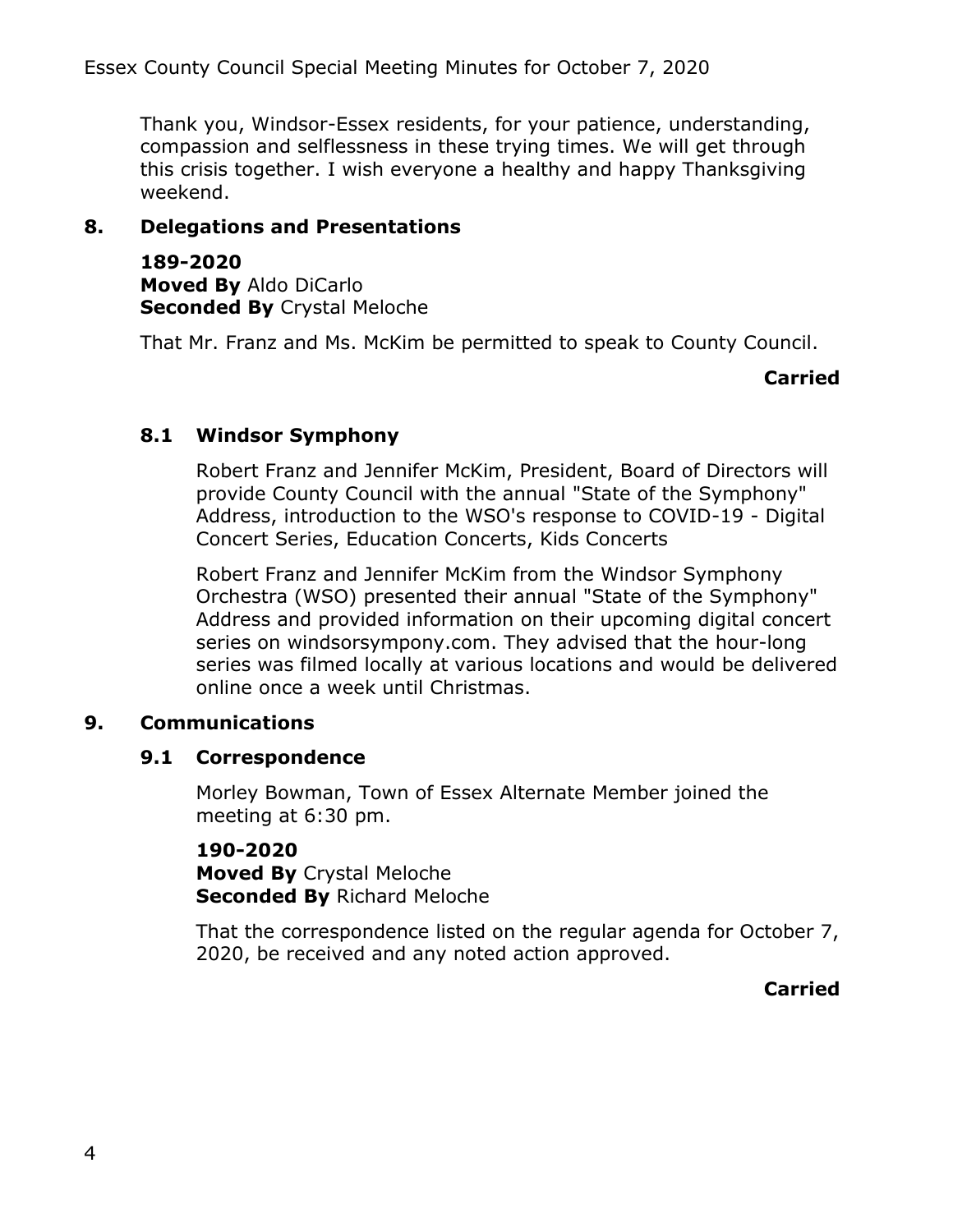Thank you, Windsor-Essex residents, for your patience, understanding, compassion and selflessness in these trying times. We will get through this crisis together. I wish everyone a healthy and happy Thanksgiving weekend.

## **8. Delegations and Presentations**

**189-2020 Moved By** Aldo DiCarlo **Seconded By** Crystal Meloche

That Mr. Franz and Ms. McKim be permitted to speak to County Council.

### **Carried**

### **8.1 Windsor Symphony**

Robert Franz and Jennifer McKim, President, Board of Directors will provide County Council with the annual "State of the Symphony" Address, introduction to the WSO's response to COVID-19 - Digital Concert Series, Education Concerts, Kids Concerts

Robert Franz and Jennifer McKim from the Windsor Symphony Orchestra (WSO) presented their annual "State of the Symphony" Address and provided information on their upcoming digital concert series on windsorsympony.com. They advised that the hour-long series was filmed locally at various locations and would be delivered online once a week until Christmas.

### **9. Communications**

### **9.1 Correspondence**

Morley Bowman, Town of Essex Alternate Member joined the meeting at 6:30 pm.

**190-2020 Moved By** Crystal Meloche **Seconded By** Richard Meloche

That the correspondence listed on the regular agenda for October 7, 2020, be received and any noted action approved.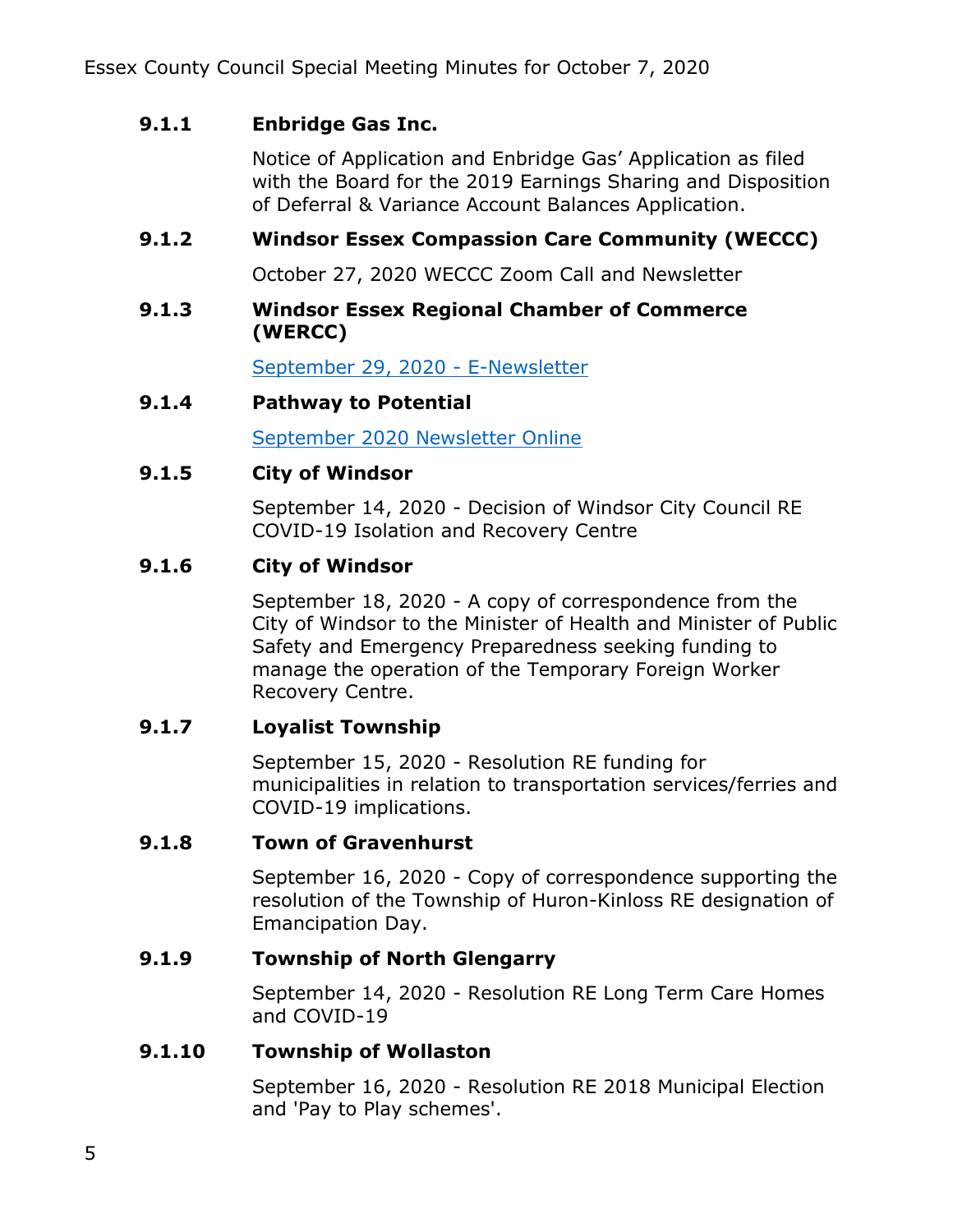# **9.1.1 Enbridge Gas Inc.**

Notice of Application and Enbridge Gas' Application as filed with the Board for the 2019 Earnings Sharing and Disposition of Deferral & Variance Account Balances Application.

# **9.1.2 Windsor Essex Compassion Care Community (WECCC)**

October 27, 2020 WECCC Zoom Call and Newsletter

### **9.1.3 Windsor Essex Regional Chamber of Commerce (WERCC)**

[September 29, 2020 -](https://mailchi.mp/windsorchamber/september292020-371322) E-Newsletter

### **9.1.4 Pathway to Potential**

[September 2020 Newsletter Online](https://www.citywindsor.ca/residents/socialservices-/Social-Policy-and-Pathway-to-Potential/pathway-to-potential/Pages/9-Point-Social-Investment-Plan.aspx)

## **9.1.5 City of Windsor**

September 14, 2020 - Decision of Windsor City Council RE COVID-19 Isolation and Recovery Centre

## **9.1.6 City of Windsor**

September 18, 2020 - A copy of correspondence from the City of Windsor to the Minister of Health and Minister of Public Safety and Emergency Preparedness seeking funding to manage the operation of the Temporary Foreign Worker Recovery Centre.

## **9.1.7 Loyalist Township**

September 15, 2020 - Resolution RE funding for municipalities in relation to transportation services/ferries and COVID-19 implications.

## **9.1.8 Town of Gravenhurst**

September 16, 2020 - Copy of correspondence supporting the resolution of the Township of Huron-Kinloss RE designation of Emancipation Day.

## **9.1.9 Township of North Glengarry**

September 14, 2020 - Resolution RE Long Term Care Homes and COVID-19

## **9.1.10 Township of Wollaston**

September 16, 2020 - Resolution RE 2018 Municipal Election and 'Pay to Play schemes'.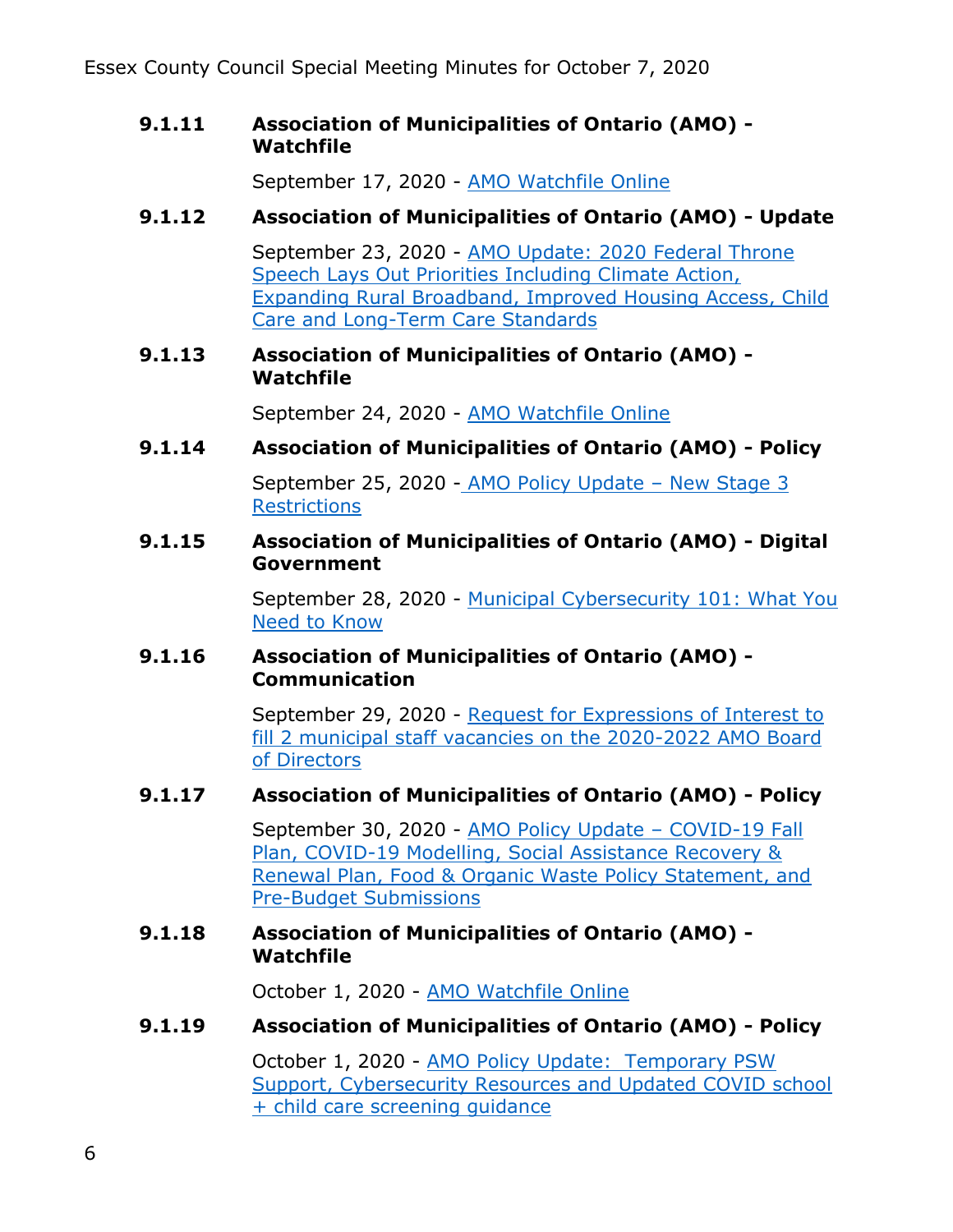Essex County Council Special Meeting Minutes for October 7, 2020

### **9.1.11 Association of Municipalities of Ontario (AMO) - Watchfile**

September 17, 2020 - [AMO Watchfile Online](https://amo.informz.ca/informzdataservice/onlineversion/ind/bWFpbGluZ2luc3RhbmNlaWQ9MTIyNDAxNiZzdWJzY3JpYmVyaWQ9OTIzODQ0MzY5)

# **9.1.12 Association of Municipalities of Ontario (AMO) - Update**

September 23, 2020 - AMO Update: 2020 Federal Throne [Speech Lays Out Priorities Including Climate Action,](https://amo.informz.ca/informzdataservice/onlineversion/ind/bWFpbGluZ2luc3RhbmNlaWQ9MTIyNTM1MyZzdWJzY3JpYmVyaWQ9OTIzODQ0MzY5)  [Expanding Rural Broadband, Improved Housing Access, Child](https://amo.informz.ca/informzdataservice/onlineversion/ind/bWFpbGluZ2luc3RhbmNlaWQ9MTIyNTM1MyZzdWJzY3JpYmVyaWQ9OTIzODQ0MzY5)  [Care and Long-Term Care Standards](https://amo.informz.ca/informzdataservice/onlineversion/ind/bWFpbGluZ2luc3RhbmNlaWQ9MTIyNTM1MyZzdWJzY3JpYmVyaWQ9OTIzODQ0MzY5) 

### **9.1.13 Association of Municipalities of Ontario (AMO) - Watchfile**

September 24, 2020 - [AMO Watchfile Online](https://amo.informz.ca/informzdataservice/onlineversion/ind/bWFpbGluZ2luc3RhbmNlaWQ9MTIyNTQ5MyZzdWJzY3JpYmVyaWQ9OTIzODQ0MzY5)

## **9.1.14 Association of Municipalities of Ontario (AMO) - Policy**

September 25, 2020 - [AMO Policy Update](https://amo.informz.ca/informzdataservice/onlineversion/ind/bWFpbGluZ2luc3RhbmNlaWQ9MTIyNTg2OCZzdWJzY3JpYmVyaWQ9OTIzODQ0MzY5) – New Stage 3 **Restrictions** 

### **9.1.15 Association of Municipalities of Ontario (AMO) - Digital Government**

September 28, 2020 - [Municipal Cybersecurity 101: What You](https://amo.informz.ca/informzdataservice/onlineversion/ind/bWFpbGluZ2luc3RhbmNlaWQ9MTIyNjIyMyZzdWJzY3JpYmVyaWQ9OTIzODQ0MzY5)  [Need to Know](https://amo.informz.ca/informzdataservice/onlineversion/ind/bWFpbGluZ2luc3RhbmNlaWQ9MTIyNjIyMyZzdWJzY3JpYmVyaWQ9OTIzODQ0MzY5)

### **9.1.16 Association of Municipalities of Ontario (AMO) - Communication**

September 29, 2020 - [Request for Expressions of Interest to](https://amo.informz.ca/informzdataservice/onlineversion/ind/bWFpbGluZ2luc3RhbmNlaWQ9MTIyNjU4NSZzdWJzY3JpYmVyaWQ9OTIzODQ0MzY5)  [fill 2 municipal staff vacancies on the 2020-2022 AMO Board](https://amo.informz.ca/informzdataservice/onlineversion/ind/bWFpbGluZ2luc3RhbmNlaWQ9MTIyNjU4NSZzdWJzY3JpYmVyaWQ9OTIzODQ0MzY5)  [of Directors](https://amo.informz.ca/informzdataservice/onlineversion/ind/bWFpbGluZ2luc3RhbmNlaWQ9MTIyNjU4NSZzdWJzY3JpYmVyaWQ9OTIzODQ0MzY5)

## **9.1.17 Association of Municipalities of Ontario (AMO) - Policy**

September 30, 2020 - [AMO Policy Update](https://amo.informz.ca/informzdataservice/onlineversion/ind/bWFpbGluZ2luc3RhbmNlaWQ9MTIyNjk1NCZzdWJzY3JpYmVyaWQ9OTIzODQ0MzY5) – COVID-19 Fall [Plan, COVID-19 Modelling, Social Assistance Recovery &](https://amo.informz.ca/informzdataservice/onlineversion/ind/bWFpbGluZ2luc3RhbmNlaWQ9MTIyNjk1NCZzdWJzY3JpYmVyaWQ9OTIzODQ0MzY5)  [Renewal Plan, Food & Organic Waste Policy Statement, and](https://amo.informz.ca/informzdataservice/onlineversion/ind/bWFpbGluZ2luc3RhbmNlaWQ9MTIyNjk1NCZzdWJzY3JpYmVyaWQ9OTIzODQ0MzY5)  [Pre-Budget Submissions](https://amo.informz.ca/informzdataservice/onlineversion/ind/bWFpbGluZ2luc3RhbmNlaWQ9MTIyNjk1NCZzdWJzY3JpYmVyaWQ9OTIzODQ0MzY5) 

### **9.1.18 Association of Municipalities of Ontario (AMO) - Watchfile**

October 1, 2020 - [AMO Watchfile Online](https://amo.informz.ca/informzdataservice/onlineversion/ind/bWFpbGluZ2luc3RhbmNlaWQ9MTIyNzEzMiZzdWJzY3JpYmVyaWQ9OTIzODQ0MzY5) 

## **9.1.19 Association of Municipalities of Ontario (AMO) - Policy**

October 1, 2020 - [AMO Policy Update: Temporary PSW](https://amo.informz.ca/informzdataservice/onlineversion/ind/bWFpbGluZ2luc3RhbmNlaWQ9MTIyNzQwNCZzdWJzY3JpYmVyaWQ9OTIzODQ0MzY5)  [Support, Cybersecurity Resources and Updated COVID school](https://amo.informz.ca/informzdataservice/onlineversion/ind/bWFpbGluZ2luc3RhbmNlaWQ9MTIyNzQwNCZzdWJzY3JpYmVyaWQ9OTIzODQ0MzY5)  [+ child care screening guidance](https://amo.informz.ca/informzdataservice/onlineversion/ind/bWFpbGluZ2luc3RhbmNlaWQ9MTIyNzQwNCZzdWJzY3JpYmVyaWQ9OTIzODQ0MzY5)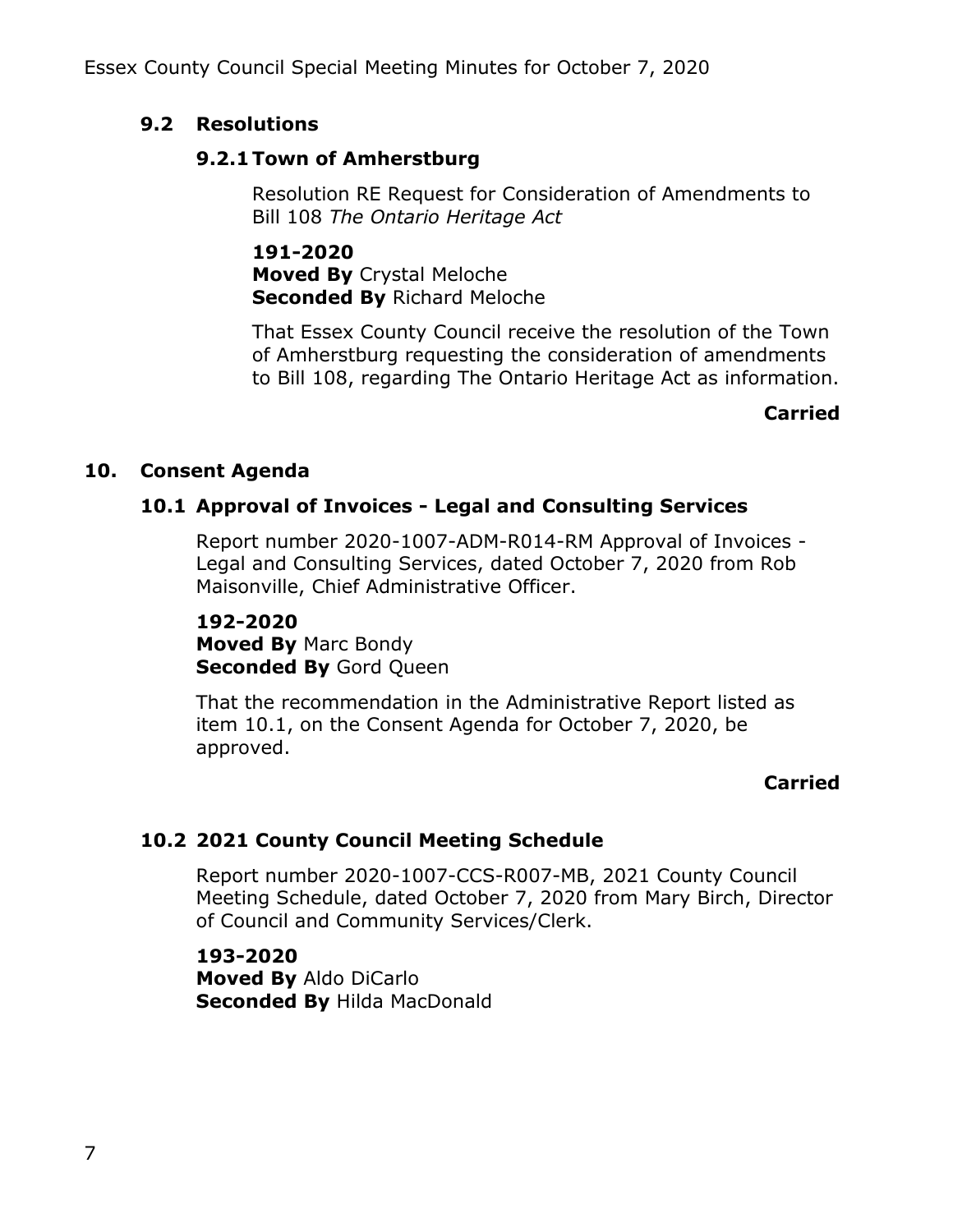# **9.2 Resolutions**

## **9.2.1 Town of Amherstburg**

Resolution RE Request for Consideration of Amendments to Bill 108 *The Ontario Heritage Act*

**191-2020 Moved By** Crystal Meloche **Seconded By** Richard Meloche

That Essex County Council receive the resolution of the Town of Amherstburg requesting the consideration of amendments to Bill 108, regarding The Ontario Heritage Act as information.

# **Carried**

# **10. Consent Agenda**

# **10.1 Approval of Invoices - Legal and Consulting Services**

Report number 2020-1007-ADM-R014-RM Approval of Invoices - Legal and Consulting Services, dated October 7, 2020 from Rob Maisonville, Chief Administrative Officer.

**192-2020 Moved By** Marc Bondy **Seconded By Gord Queen** 

That the recommendation in the Administrative Report listed as item 10.1, on the Consent Agenda for October 7, 2020, be approved.

# **Carried**

# **10.2 2021 County Council Meeting Schedule**

Report number 2020-1007-CCS-R007-MB, 2021 County Council Meeting Schedule, dated October 7, 2020 from Mary Birch, Director of Council and Community Services/Clerk.

**193-2020 Moved By** Aldo DiCarlo **Seconded By** Hilda MacDonald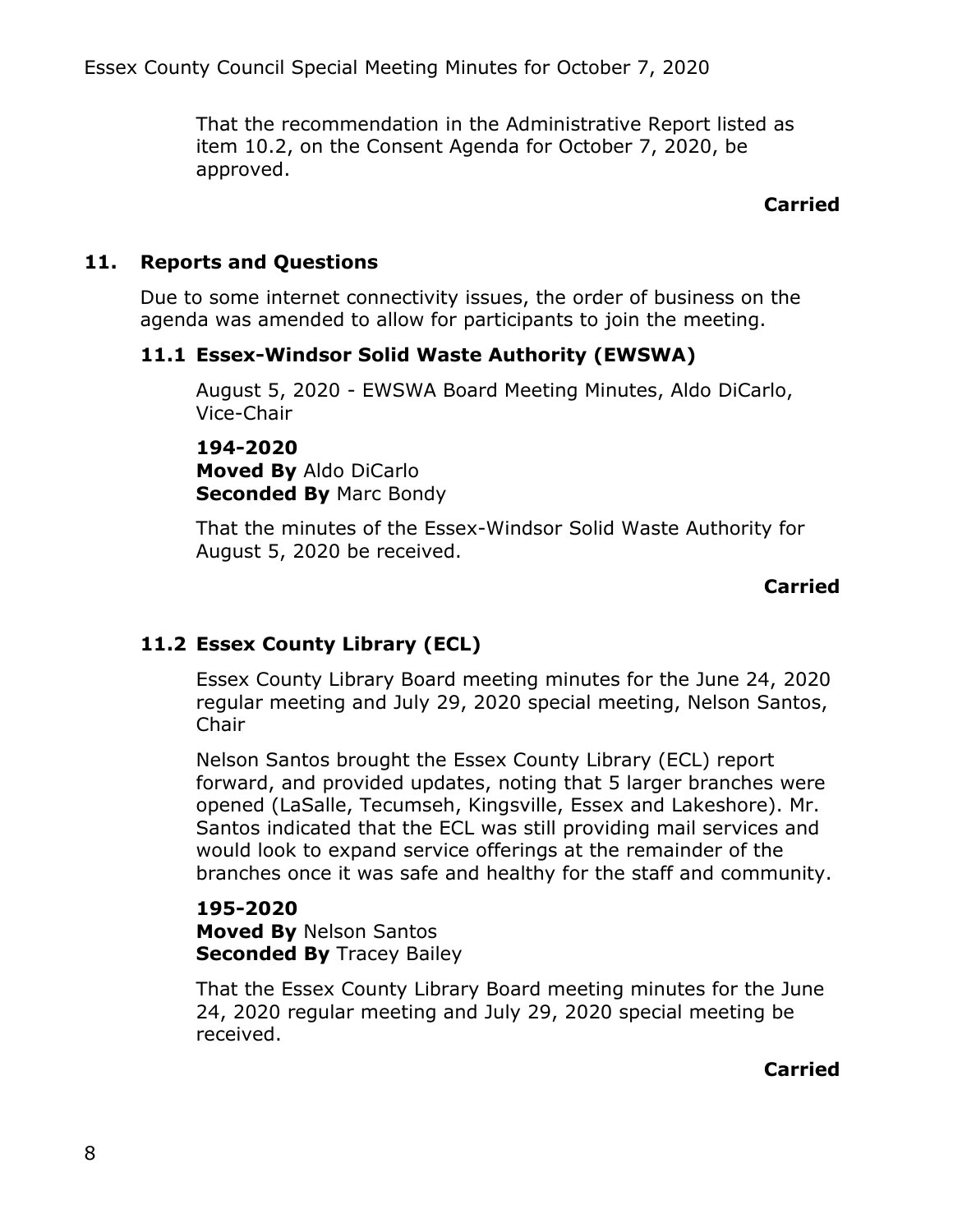That the recommendation in the Administrative Report listed as item 10.2, on the Consent Agenda for October 7, 2020, be approved.

### **Carried**

### **11. Reports and Questions**

Due to some internet connectivity issues, the order of business on the agenda was amended to allow for participants to join the meeting.

### **11.1 Essex-Windsor Solid Waste Authority (EWSWA)**

August 5, 2020 - EWSWA Board Meeting Minutes, Aldo DiCarlo, Vice-Chair

**194-2020 Moved By** Aldo DiCarlo **Seconded By** Marc Bondy

That the minutes of the Essex-Windsor Solid Waste Authority for August 5, 2020 be received.

### **Carried**

## **11.2 Essex County Library (ECL)**

Essex County Library Board meeting minutes for the June 24, 2020 regular meeting and July 29, 2020 special meeting, Nelson Santos, Chair

Nelson Santos brought the Essex County Library (ECL) report forward, and provided updates, noting that 5 larger branches were opened (LaSalle, Tecumseh, Kingsville, Essex and Lakeshore). Mr. Santos indicated that the ECL was still providing mail services and would look to expand service offerings at the remainder of the branches once it was safe and healthy for the staff and community.

#### **195-2020 Moved By** Nelson Santos **Seconded By Tracey Bailey**

That the Essex County Library Board meeting minutes for the June 24, 2020 regular meeting and July 29, 2020 special meeting be received.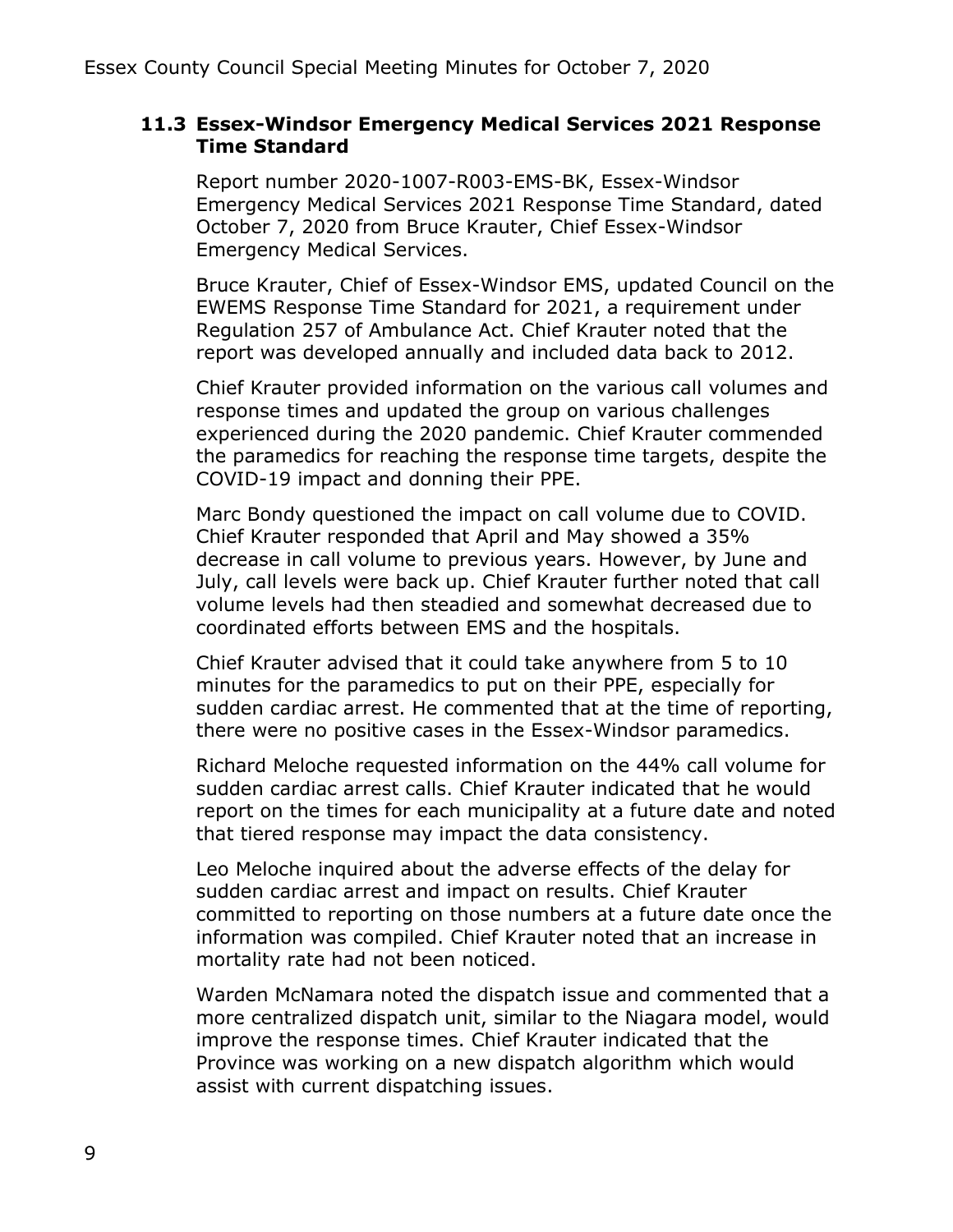### **11.3 Essex-Windsor Emergency Medical Services 2021 Response Time Standard**

Report number 2020-1007-R003-EMS-BK, Essex-Windsor Emergency Medical Services 2021 Response Time Standard, dated October 7, 2020 from Bruce Krauter, Chief Essex-Windsor Emergency Medical Services.

Bruce Krauter, Chief of Essex-Windsor EMS, updated Council on the EWEMS Response Time Standard for 2021, a requirement under Regulation 257 of Ambulance Act. Chief Krauter noted that the report was developed annually and included data back to 2012.

Chief Krauter provided information on the various call volumes and response times and updated the group on various challenges experienced during the 2020 pandemic. Chief Krauter commended the paramedics for reaching the response time targets, despite the COVID-19 impact and donning their PPE.

Marc Bondy questioned the impact on call volume due to COVID. Chief Krauter responded that April and May showed a 35% decrease in call volume to previous years. However, by June and July, call levels were back up. Chief Krauter further noted that call volume levels had then steadied and somewhat decreased due to coordinated efforts between EMS and the hospitals.

Chief Krauter advised that it could take anywhere from 5 to 10 minutes for the paramedics to put on their PPE, especially for sudden cardiac arrest. He commented that at the time of reporting, there were no positive cases in the Essex-Windsor paramedics.

Richard Meloche requested information on the 44% call volume for sudden cardiac arrest calls. Chief Krauter indicated that he would report on the times for each municipality at a future date and noted that tiered response may impact the data consistency.

Leo Meloche inquired about the adverse effects of the delay for sudden cardiac arrest and impact on results. Chief Krauter committed to reporting on those numbers at a future date once the information was compiled. Chief Krauter noted that an increase in mortality rate had not been noticed.

Warden McNamara noted the dispatch issue and commented that a more centralized dispatch unit, similar to the Niagara model, would improve the response times. Chief Krauter indicated that the Province was working on a new dispatch algorithm which would assist with current dispatching issues.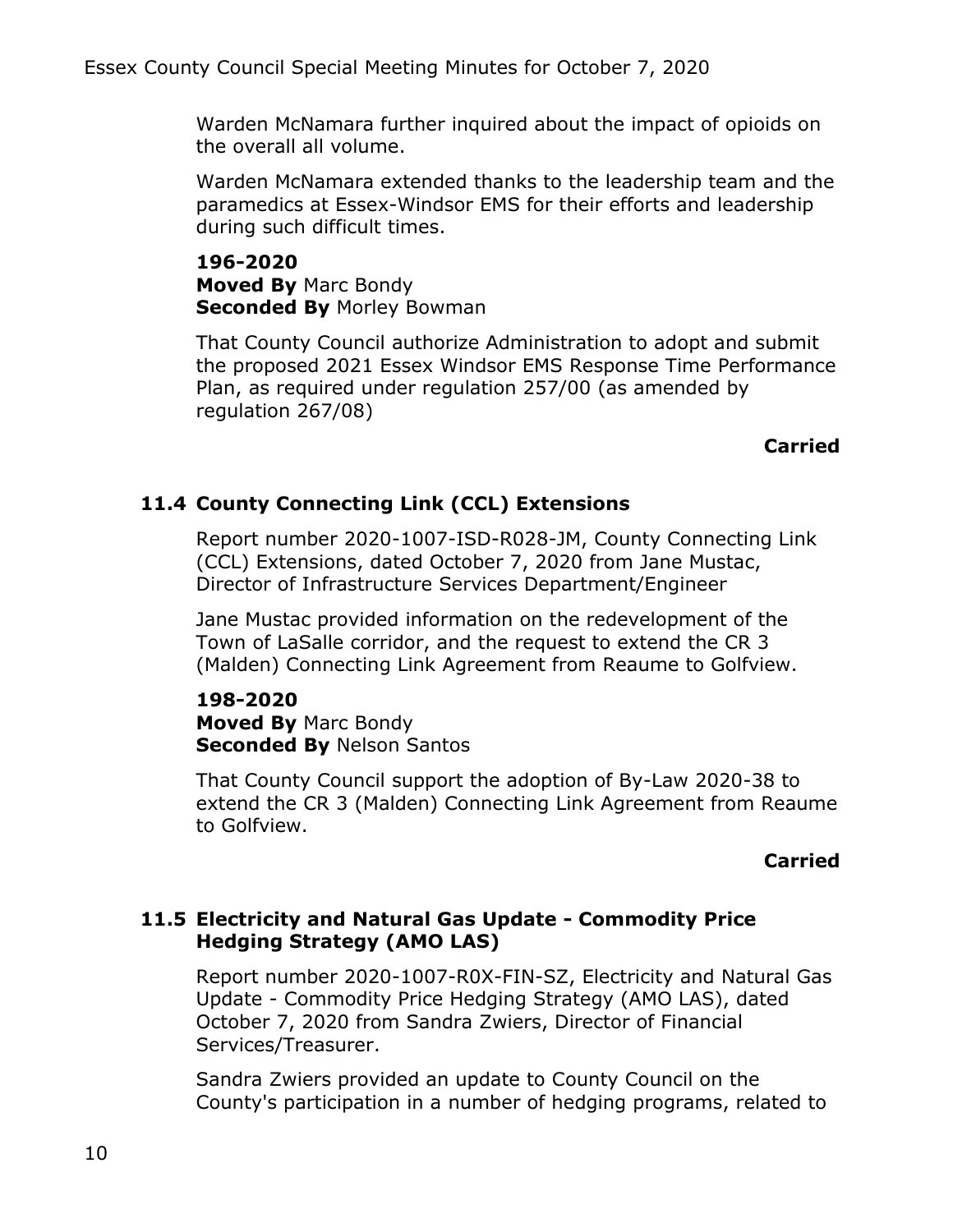Warden McNamara further inquired about the impact of opioids on the overall all volume.

Warden McNamara extended thanks to the leadership team and the paramedics at Essex-Windsor EMS for their efforts and leadership during such difficult times.

**196-2020 Moved By** Marc Bondy **Seconded By** Morley Bowman

That County Council authorize Administration to adopt and submit the proposed 2021 Essex Windsor EMS Response Time Performance Plan, as required under regulation 257/00 (as amended by regulation 267/08)

### **Carried**

# **11.4 County Connecting Link (CCL) Extensions**

Report number 2020-1007-ISD-R028-JM, County Connecting Link (CCL) Extensions, dated October 7, 2020 from Jane Mustac, Director of Infrastructure Services Department/Engineer

Jane Mustac provided information on the redevelopment of the Town of LaSalle corridor, and the request to extend the CR 3 (Malden) Connecting Link Agreement from Reaume to Golfview.

#### **198-2020 Moved By** Marc Bondy **Seconded By** Nelson Santos

That County Council support the adoption of By-Law 2020-38 to extend the CR 3 (Malden) Connecting Link Agreement from Reaume to Golfview.

### **Carried**

## **11.5 Electricity and Natural Gas Update - Commodity Price Hedging Strategy (AMO LAS)**

Report number 2020-1007-R0X-FIN-SZ, Electricity and Natural Gas Update - Commodity Price Hedging Strategy (AMO LAS), dated October 7, 2020 from Sandra Zwiers, Director of Financial Services/Treasurer.

Sandra Zwiers provided an update to County Council on the County's participation in a number of hedging programs, related to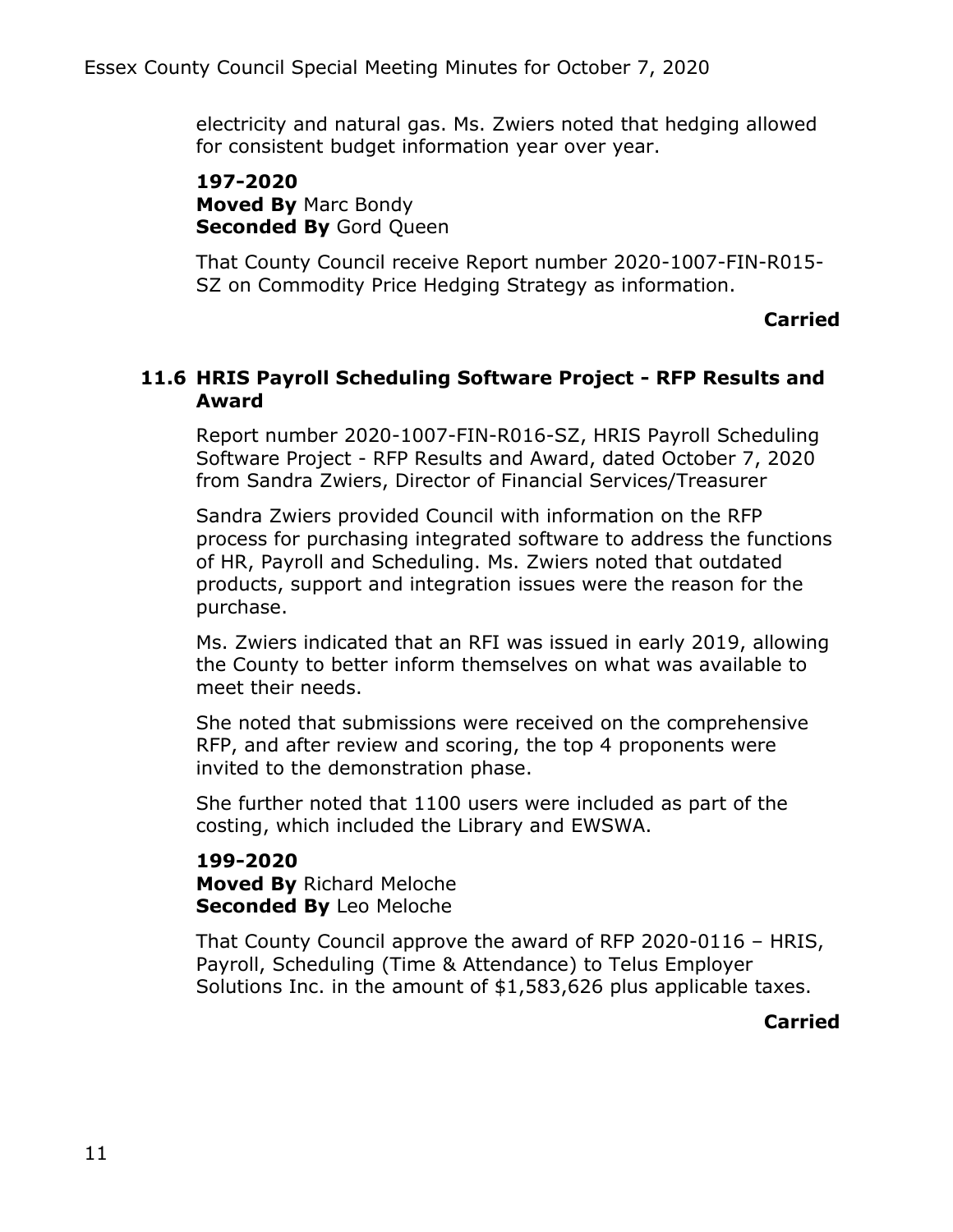electricity and natural gas. Ms. Zwiers noted that hedging allowed for consistent budget information year over year.

**197-2020 Moved By** Marc Bondy **Seconded By** Gord Queen

That County Council receive Report number 2020-1007-FIN-R015- SZ on Commodity Price Hedging Strategy as information.

### **Carried**

## **11.6 HRIS Payroll Scheduling Software Project - RFP Results and Award**

Report number 2020-1007-FIN-R016-SZ, HRIS Payroll Scheduling Software Project - RFP Results and Award, dated October 7, 2020 from Sandra Zwiers, Director of Financial Services/Treasurer

Sandra Zwiers provided Council with information on the RFP process for purchasing integrated software to address the functions of HR, Payroll and Scheduling. Ms. Zwiers noted that outdated products, support and integration issues were the reason for the purchase.

Ms. Zwiers indicated that an RFI was issued in early 2019, allowing the County to better inform themselves on what was available to meet their needs.

She noted that submissions were received on the comprehensive RFP, and after review and scoring, the top 4 proponents were invited to the demonstration phase.

She further noted that 1100 users were included as part of the costing, which included the Library and EWSWA.

**199-2020 Moved By** Richard Meloche **Seconded By** Leo Meloche

That County Council approve the award of RFP 2020-0116 – HRIS, Payroll, Scheduling (Time & Attendance) to Telus Employer Solutions Inc. in the amount of \$1,583,626 plus applicable taxes.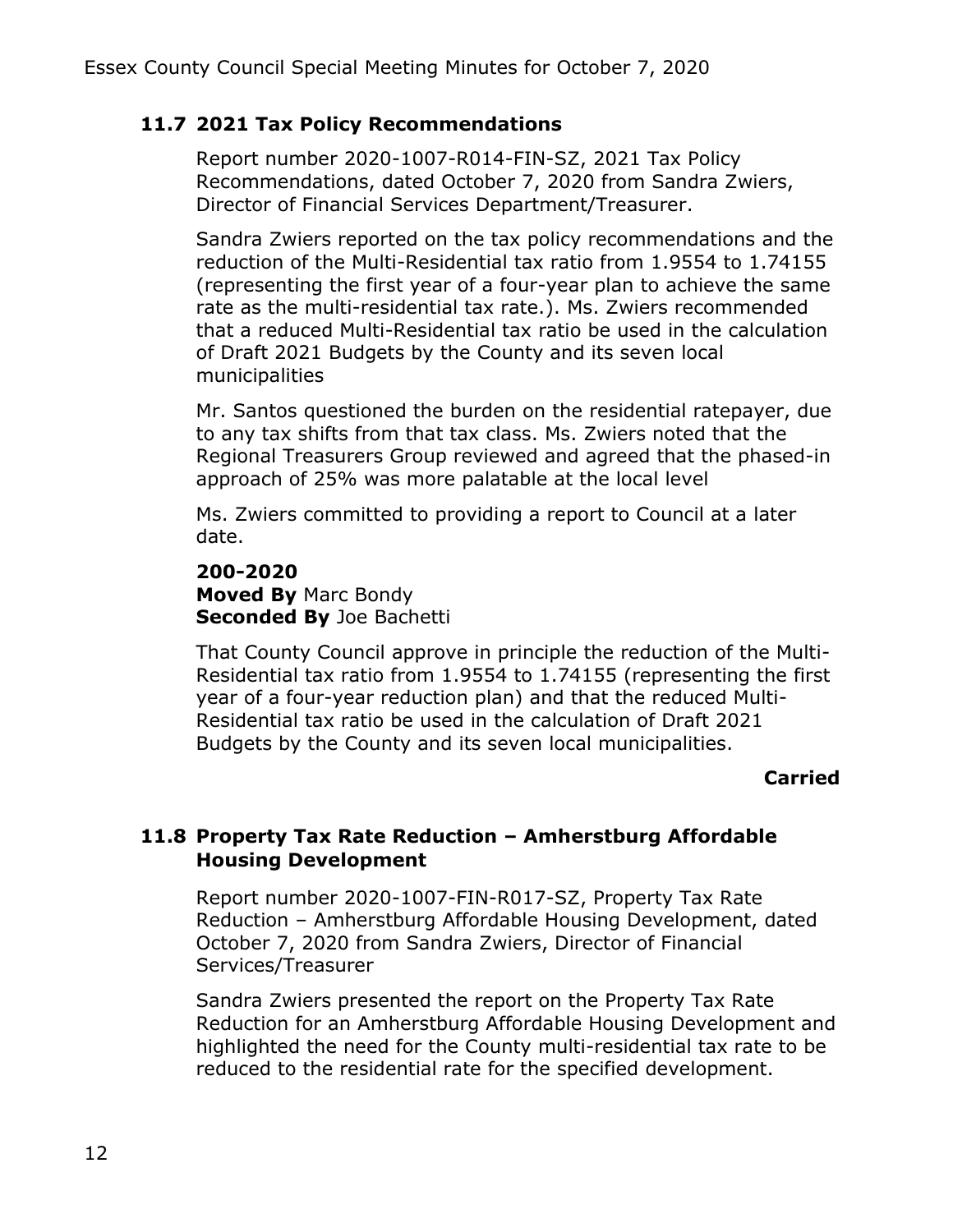## **11.7 2021 Tax Policy Recommendations**

Report number 2020-1007-R014-FIN-SZ, 2021 Tax Policy Recommendations, dated October 7, 2020 from Sandra Zwiers, Director of Financial Services Department/Treasurer.

Sandra Zwiers reported on the tax policy recommendations and the reduction of the Multi-Residential tax ratio from 1.9554 to 1.74155 (representing the first year of a four-year plan to achieve the same rate as the multi-residential tax rate.). Ms. Zwiers recommended that a reduced Multi-Residential tax ratio be used in the calculation of Draft 2021 Budgets by the County and its seven local municipalities

Mr. Santos questioned the burden on the residential ratepayer, due to any tax shifts from that tax class. Ms. Zwiers noted that the Regional Treasurers Group reviewed and agreed that the phased-in approach of 25% was more palatable at the local level

Ms. Zwiers committed to providing a report to Council at a later date.

### **200-2020 Moved By** Marc Bondy **Seconded By** Joe Bachetti

That County Council approve in principle the reduction of the Multi-Residential tax ratio from 1.9554 to 1.74155 (representing the first year of a four-year reduction plan) and that the reduced Multi-Residential tax ratio be used in the calculation of Draft 2021 Budgets by the County and its seven local municipalities.

## **Carried**

# **11.8 Property Tax Rate Reduction – Amherstburg Affordable Housing Development**

Report number 2020-1007-FIN-R017-SZ, Property Tax Rate Reduction – Amherstburg Affordable Housing Development, dated October 7, 2020 from Sandra Zwiers, Director of Financial Services/Treasurer

Sandra Zwiers presented the report on the Property Tax Rate Reduction for an Amherstburg Affordable Housing Development and highlighted the need for the County multi-residential tax rate to be reduced to the residential rate for the specified development.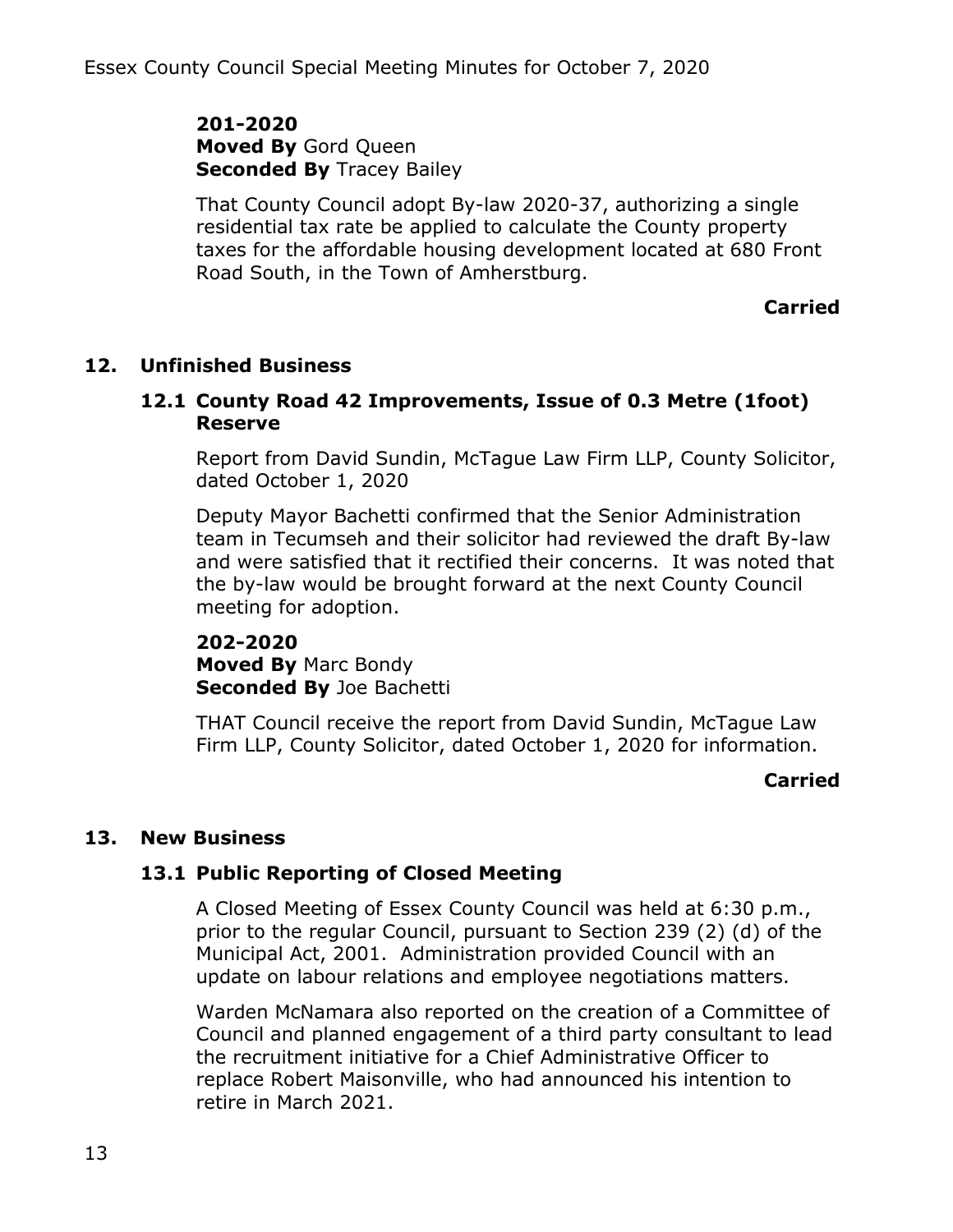**201-2020 Moved By** Gord Queen **Seconded By** Tracey Bailey

That County Council adopt By-law 2020-37, authorizing a single residential tax rate be applied to calculate the County property taxes for the affordable housing development located at 680 Front Road South, in the Town of Amherstburg.

**Carried**

## **12. Unfinished Business**

### **12.1 County Road 42 Improvements, Issue of 0.3 Metre (1foot) Reserve**

Report from David Sundin, McTague Law Firm LLP, County Solicitor, dated October 1, 2020

Deputy Mayor Bachetti confirmed that the Senior Administration team in Tecumseh and their solicitor had reviewed the draft By-law and were satisfied that it rectified their concerns. It was noted that the by-law would be brought forward at the next County Council meeting for adoption.

**202-2020 Moved By** Marc Bondy **Seconded By** Joe Bachetti

THAT Council receive the report from David Sundin, McTague Law Firm LLP, County Solicitor, dated October 1, 2020 for information.

### **Carried**

### **13. New Business**

## **13.1 Public Reporting of Closed Meeting**

A Closed Meeting of Essex County Council was held at 6:30 p.m., prior to the regular Council, pursuant to Section 239 (2) (d) of the Municipal Act, 2001. Administration provided Council with an update on labour relations and employee negotiations matters.

Warden McNamara also reported on the creation of a Committee of Council and planned engagement of a third party consultant to lead the recruitment initiative for a Chief Administrative Officer to replace Robert Maisonville, who had announced his intention to retire in March 2021.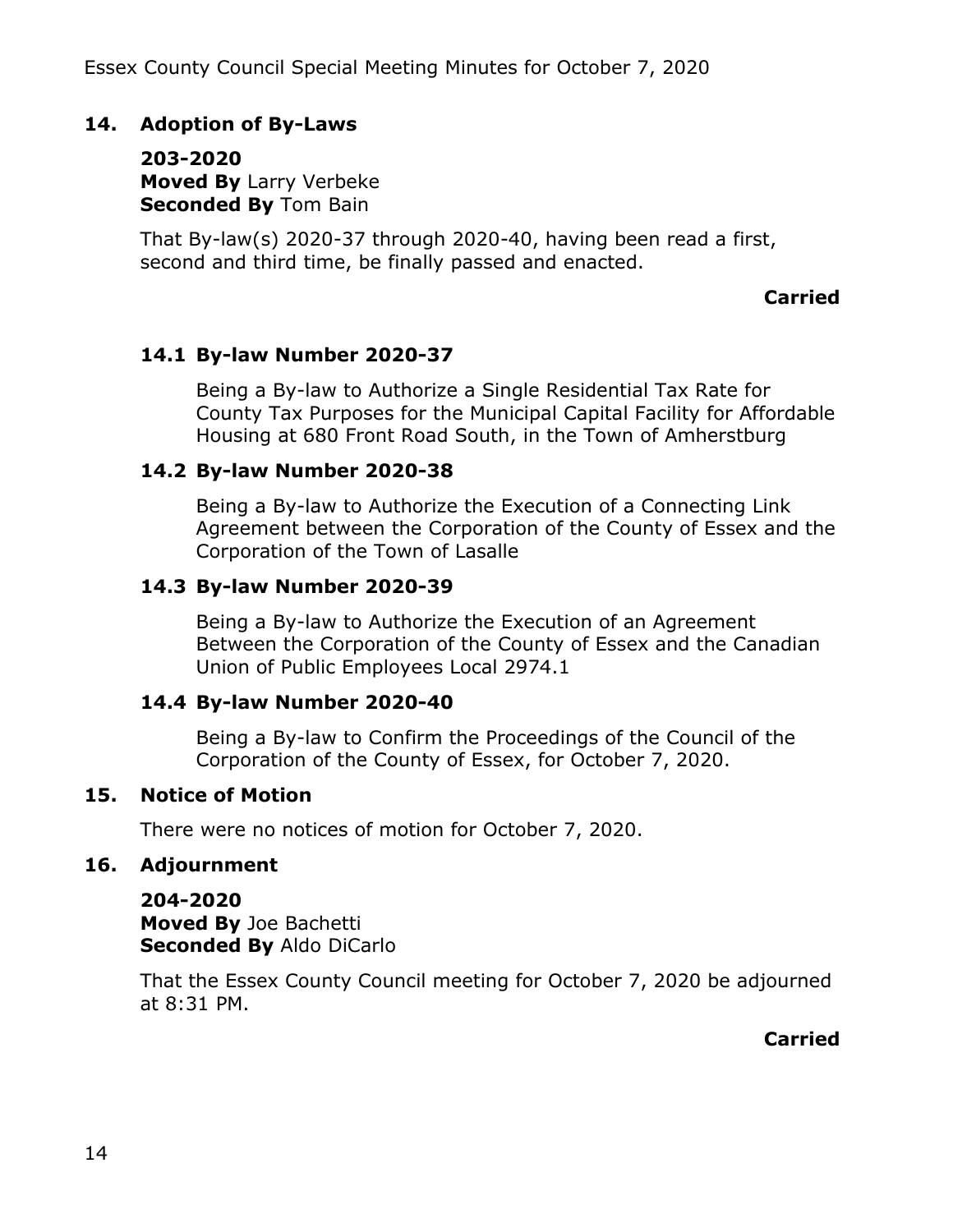## **14. Adoption of By-Laws**

**203-2020 Moved By** Larry Verbeke **Seconded By** Tom Bain

That By-law(s) 2020-37 through 2020-40, having been read a first, second and third time, be finally passed and enacted.

#### **Carried**

### **14.1 By-law Number 2020-37**

Being a By-law to Authorize a Single Residential Tax Rate for County Tax Purposes for the Municipal Capital Facility for Affordable Housing at 680 Front Road South, in the Town of Amherstburg

#### **14.2 By-law Number 2020-38**

Being a By-law to Authorize the Execution of a Connecting Link Agreement between the Corporation of the County of Essex and the Corporation of the Town of Lasalle

#### **14.3 By-law Number 2020-39**

Being a By-law to Authorize the Execution of an Agreement Between the Corporation of the County of Essex and the Canadian Union of Public Employees Local 2974.1

### **14.4 By-law Number 2020-40**

Being a By-law to Confirm the Proceedings of the Council of the Corporation of the County of Essex, for October 7, 2020.

### **15. Notice of Motion**

There were no notices of motion for October 7, 2020.

### **16. Adjournment**

**204-2020 Moved By** Joe Bachetti **Seconded By** Aldo DiCarlo

That the Essex County Council meeting for October 7, 2020 be adjourned at 8:31 PM.